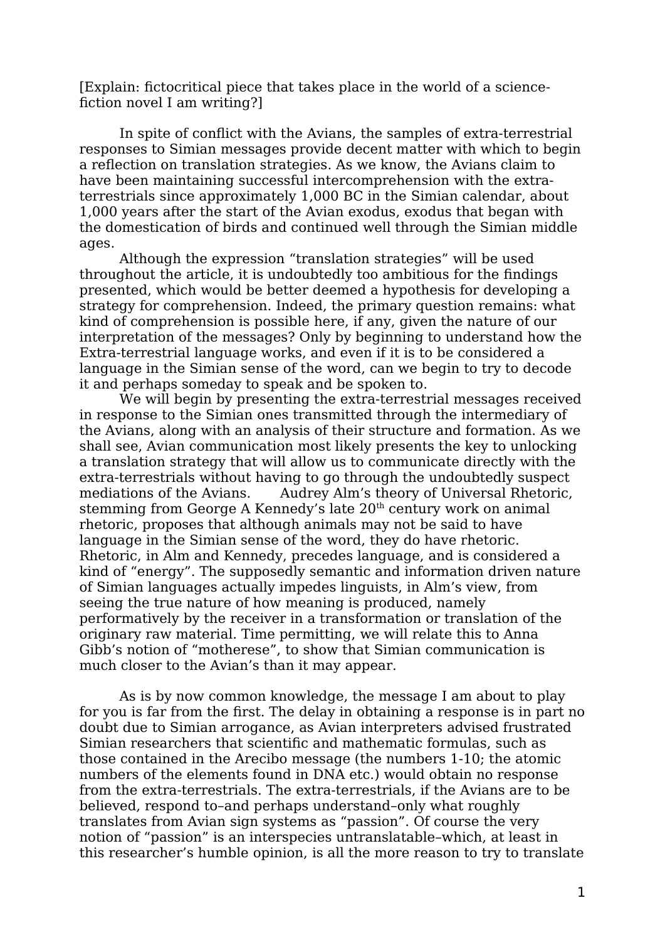[Explain: fictocritical piece that takes place in the world of a sciencefiction novel I am writing?]

In spite of conflict with the Avians, the samples of extra-terrestrial responses to Simian messages provide decent matter with which to begin a reflection on translation strategies. As we know, the Avians claim to have been maintaining successful intercomprehension with the extraterrestrials since approximately 1,000 BC in the Simian calendar, about 1,000 years after the start of the Avian exodus, exodus that began with the domestication of birds and continued well through the Simian middle ages.

Although the expression "translation strategies" will be used throughout the article, it is undoubtedly too ambitious for the findings presented, which would be better deemed a hypothesis for developing a strategy for comprehension. Indeed, the primary question remains: what kind of comprehension is possible here, if any, given the nature of our interpretation of the messages? Only by beginning to understand how the Extra-terrestrial language works, and even if it is to be considered a language in the Simian sense of the word, can we begin to try to decode it and perhaps someday to speak and be spoken to.

We will begin by presenting the extra-terrestrial messages received in response to the Simian ones transmitted through the intermediary of the Avians, along with an analysis of their structure and formation. As we shall see, Avian communication most likely presents the key to unlocking a translation strategy that will allow us to communicate directly with the extra-terrestrials without having to go through the undoubtedly suspect mediations of the Avians. Audrey Alm's theory of Universal Rhetoric, stemming from George A Kennedy's late 20<sup>th</sup> century work on animal rhetoric, proposes that although animals may not be said to have language in the Simian sense of the word, they do have rhetoric. Rhetoric, in Alm and Kennedy, precedes language, and is considered a kind of "energy". The supposedly semantic and information driven nature of Simian languages actually impedes linguists, in Alm's view, from seeing the true nature of how meaning is produced, namely performatively by the receiver in a transformation or translation of the originary raw material. Time permitting, we will relate this to Anna Gibb's notion of "motherese", to show that Simian communication is much closer to the Avian's than it may appear.

As is by now common knowledge, the message I am about to play for you is far from the first. The delay in obtaining a response is in part no doubt due to Simian arrogance, as Avian interpreters advised frustrated Simian researchers that scientific and mathematic formulas, such as those contained in the Arecibo message (the numbers 1-10; the atomic numbers of the elements found in DNA etc.) would obtain no response from the extra-terrestrials. The extra-terrestrials, if the Avians are to be believed, respond to–and perhaps understand–only what roughly translates from Avian sign systems as "passion". Of course the very notion of "passion" is an interspecies untranslatable–which, at least in this researcher's humble opinion, is all the more reason to try to translate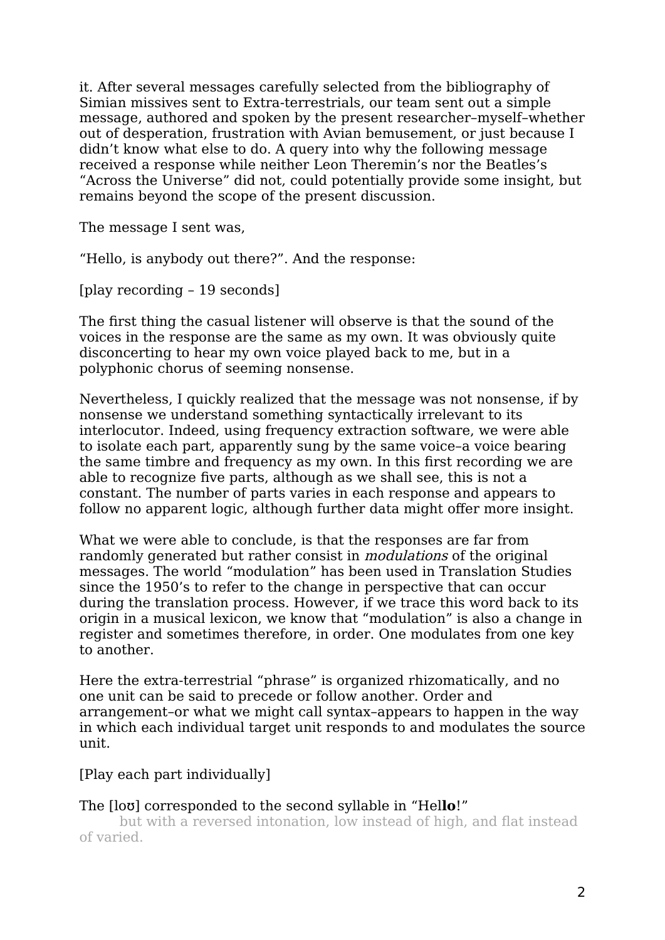it. After several messages carefully selected from the bibliography of Simian missives sent to Extra-terrestrials, our team sent out a simple message, authored and spoken by the present researcher–myself–whether out of desperation, frustration with Avian bemusement, or just because I didn't know what else to do. A query into why the following message received a response while neither Leon Theremin's nor the Beatles's "Across the Universe" did not, could potentially provide some insight, but remains beyond the scope of the present discussion.

The message I sent was,

"Hello, is anybody out there?". And the response:

[play recording – 19 seconds]

The first thing the casual listener will observe is that the sound of the voices in the response are the same as my own. It was obviously quite disconcerting to hear my own voice played back to me, but in a polyphonic chorus of seeming nonsense.

Nevertheless, I quickly realized that the message was not nonsense, if by nonsense we understand something syntactically irrelevant to its interlocutor. Indeed, using frequency extraction software, we were able to isolate each part, apparently sung by the same voice–a voice bearing the same timbre and frequency as my own. In this first recording we are able to recognize five parts, although as we shall see, this is not a constant. The number of parts varies in each response and appears to follow no apparent logic, although further data might offer more insight.

What we were able to conclude, is that the responses are far from randomly generated but rather consist in modulations of the original messages. The world "modulation" has been used in Translation Studies since the 1950's to refer to the change in perspective that can occur during the translation process. However, if we trace this word back to its origin in a musical lexicon, we know that "modulation" is also a change in register and sometimes therefore, in order. One modulates from one key to another.

Here the extra-terrestrial "phrase" is organized rhizomatically, and no one unit can be said to precede or follow another. Order and arrangement–or what we might call syntax–appears to happen in the way in which each individual target unit responds to and modulates the source unit.

[Play each part individually]

The [loʊ] corresponded to the second syllable in "Hel**lo**!" but with a reversed intonation, low instead of high, and flat instead of varied.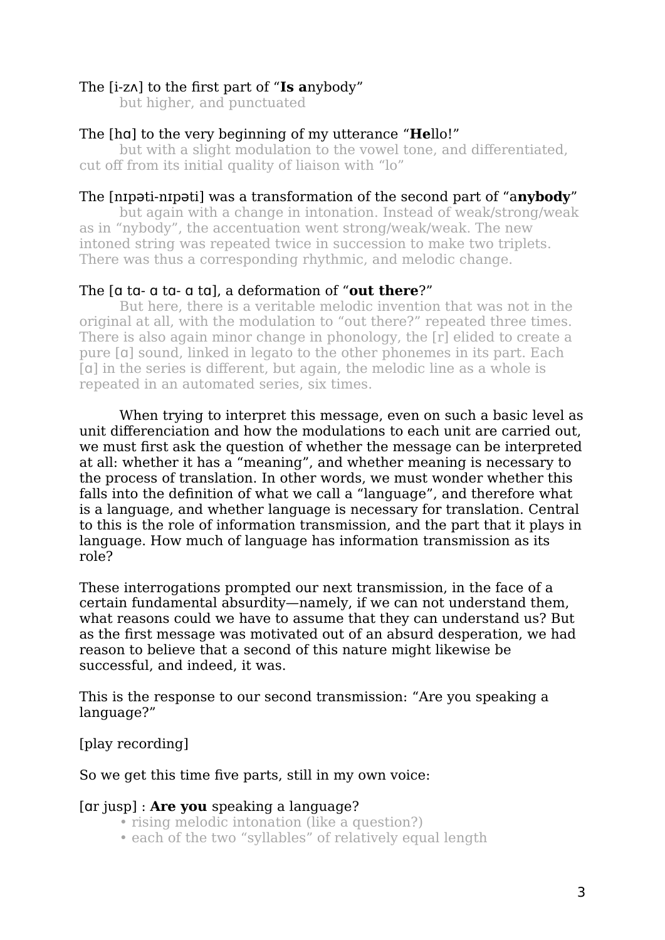## The [i-zʌ] to the first part of "**Is a**nybody"

but higher, and punctuated

### The [hɑ] to the very beginning of my utterance "**He**llo!"

but with a slight modulation to the vowel tone, and differentiated, cut off from its initial quality of liaison with "lo"

### The [nɪpəti-nɪpəti] was a transformation of the second part of "a**nybody**"

but again with a change in intonation. Instead of weak/strong/weak as in "nybody", the accentuation went strong/weak/weak. The new intoned string was repeated twice in succession to make two triplets. There was thus a corresponding rhythmic, and melodic change.

### The [ɑ tɑ- ɑ tɑ- ɑ tɑ], a deformation of "**out there**?"

But here, there is a veritable melodic invention that was not in the original at all, with the modulation to "out there?" repeated three times. There is also again minor change in phonology, the [r] elided to create a pure [ɑ] sound, linked in legato to the other phonemes in its part. Each [a] in the series is different, but again, the melodic line as a whole is repeated in an automated series, six times.

When trying to interpret this message, even on such a basic level as unit differenciation and how the modulations to each unit are carried out, we must first ask the question of whether the message can be interpreted at all: whether it has a "meaning", and whether meaning is necessary to the process of translation. In other words, we must wonder whether this falls into the definition of what we call a "language", and therefore what is a language, and whether language is necessary for translation. Central to this is the role of information transmission, and the part that it plays in language. How much of language has information transmission as its role?

These interrogations prompted our next transmission, in the face of a certain fundamental absurdity—namely, if we can not understand them, what reasons could we have to assume that they can understand us? But as the first message was motivated out of an absurd desperation, we had reason to believe that a second of this nature might likewise be successful, and indeed, it was.

This is the response to our second transmission: "Are you speaking a language?"

[play recording]

So we get this time five parts, still in my own voice:

#### [ɑr jusp] : **Are you** speaking a language?

- rising melodic intonation (like a question?)
- each of the two "syllables" of relatively equal length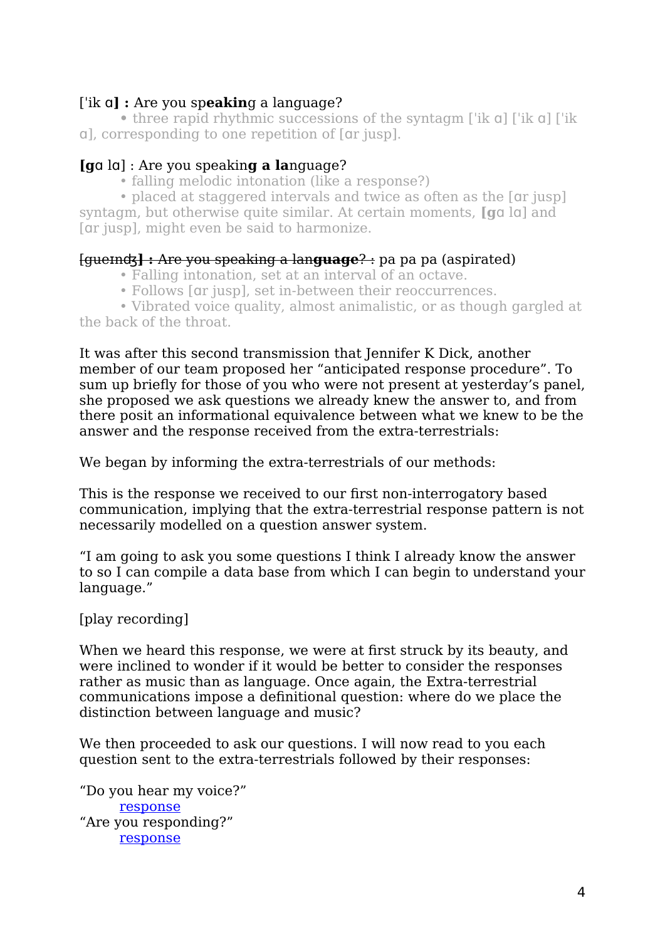# [ˈik ɑ**] :** Are you sp**eakin**g a language?

**•** three rapid rhythmic successions of the syntagm [ˈik ɑ] [ˈik ɑ] [ˈik ɑ], corresponding to one repetition of [ɑr jusp].

# **[g**ɑ lɑ] : Are you speakin**g a la**nguage?

• falling melodic intonation (like a response?)

• placed at staggered intervals and twice as often as the [qr jusp] syntagm, but otherwise quite similar. At certain moments, **[g**ɑ lɑ] and [ɑr jusp], might even be said to harmonize.

## [gueɪnʤ**] :** Are you speaking a lan**guage**? : pa pa pa (aspirated)

- Falling intonation, set at an interval of an octave.
- Follows [ɑr jusp], set in-between their reoccurrences.

• Vibrated voice quality, almost animalistic, or as though gargled at the back of the throat.

It was after this second transmission that Jennifer K Dick, another member of our team proposed her "anticipated response procedure". To sum up briefly for those of you who were not present at yesterday's panel, she proposed we ask questions we already knew the answer to, and from there posit an informational equivalence between what we knew to be the answer and the response received from the extra-terrestrials:

We began by informing the extra-terrestrials of our methods:

This is the response we received to our first non-interrogatory based communication, implying that the extra-terrestrial response pattern is not necessarily modelled on a question answer system.

"I am going to ask you some questions I think I already know the answer to so I can compile a data base from which I can begin to understand your language."

[play recording]

When we heard this response, we were at first struck by its beauty, and were inclined to wonder if it would be better to consider the responses rather as music than as language. Once again, the Extra-terrestrial communications impose a definitional question: where do we place the distinction between language and music?

We then proceeded to ask our questions. I will now read to you each question sent to the extra-terrestrials followed by their responses:

"Do you hear my voice?" [response](https://lilyrobertfoley.bandcamp.com/track/do-you-hear-my-voice) "Are you responding?" [response](https://lilyrobertfoley.bandcamp.com/track/are-you-responding)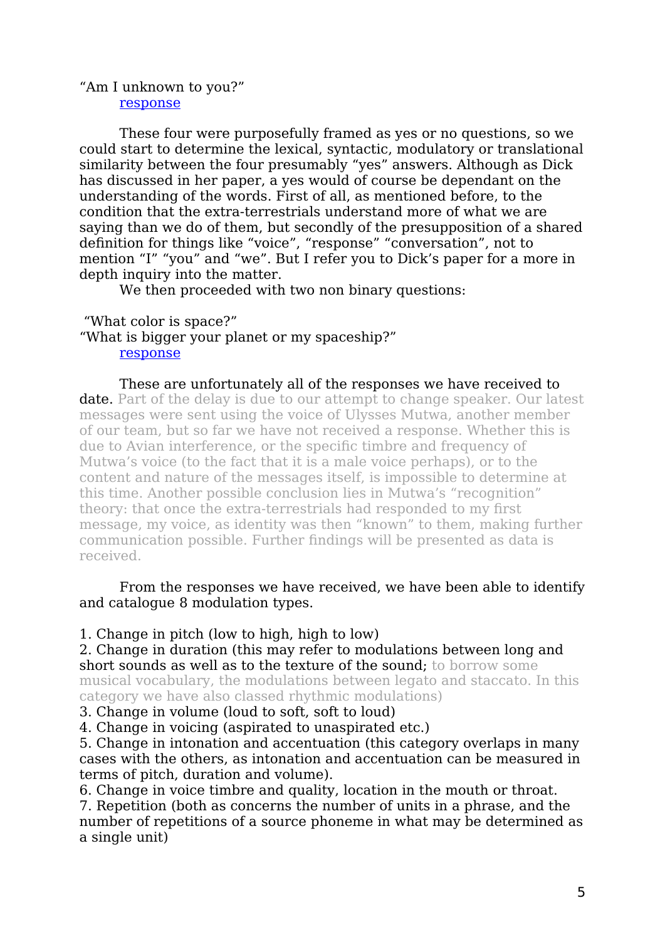#### "Am I unknown to you?" [response](https://lilyrobertfoley.bandcamp.com/track/am-i-unknown-to-you)

These four were purposefully framed as yes or no questions, so we could start to determine the lexical, syntactic, modulatory or translational similarity between the four presumably "yes" answers. Although as Dick has discussed in her paper, a yes would of course be dependant on the understanding of the words. First of all, as mentioned before, to the condition that the extra-terrestrials understand more of what we are saying than we do of them, but secondly of the presupposition of a shared definition for things like "voice", "response" "conversation", not to mention "I" "you" and "we". But I refer you to Dick's paper for a more in depth inquiry into the matter.

We then proceeded with two non binary questions:

 "What color is space?" "What is bigger your planet or my spaceship?" [response](https://lilyrobertfoley.bandcamp.com/track/what-is-bigger-your-planet-or-my-spaceship)

These are unfortunately all of the responses we have received to date. Part of the delay is due to our attempt to change speaker. Our latest messages were sent using the voice of Ulysses Mutwa, another member of our team, but so far we have not received a response. Whether this is due to Avian interference, or the specific timbre and frequency of Mutwa's voice (to the fact that it is a male voice perhaps), or to the content and nature of the messages itself, is impossible to determine at this time. Another possible conclusion lies in Mutwa's "recognition" theory: that once the extra-terrestrials had responded to my first message, my voice, as identity was then "known" to them, making further communication possible. Further findings will be presented as data is received.

From the responses we have received, we have been able to identify and catalogue 8 modulation types.

1. Change in pitch (low to high, high to low)

2. Change in duration (this may refer to modulations between long and short sounds as well as to the texture of the sound; to borrow some musical vocabulary, the modulations between legato and staccato. In this category we have also classed rhythmic modulations)

3. Change in volume (loud to soft, soft to loud)

4. Change in voicing (aspirated to unaspirated etc.)

5. Change in intonation and accentuation (this category overlaps in many cases with the others, as intonation and accentuation can be measured in terms of pitch, duration and volume).

6. Change in voice timbre and quality, location in the mouth or throat. 7. Repetition (both as concerns the number of units in a phrase, and the number of repetitions of a source phoneme in what may be determined as a single unit)